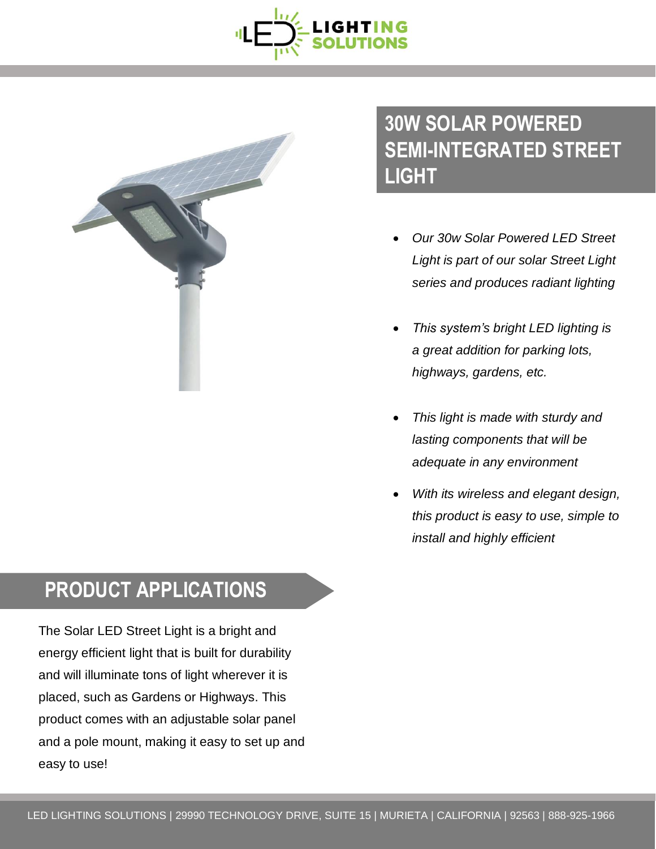



## **30W SOLAR POWERED SEMI-INTEGRATED STREET LIGHT**

- *Our 30w Solar Powered LED Street Light is part of our solar Street Light series and produces radiant lighting*
- *This system's bright LED lighting is a great addition for parking lots, highways, gardens, etc.*
- *This light is made with sturdy and lasting components that will be adequate in any environment*
- *With its wireless and elegant design, this product is easy to use, simple to install and highly efficient*

## **PRODUCT APPLICATIONS**

The Solar LED Street Light is a bright and energy efficient light that is built for durability and will illuminate tons of light wherever it is placed, such as Gardens or Highways. This product comes with an adjustable solar panel and a pole mount, making it easy to set up and easy to use!